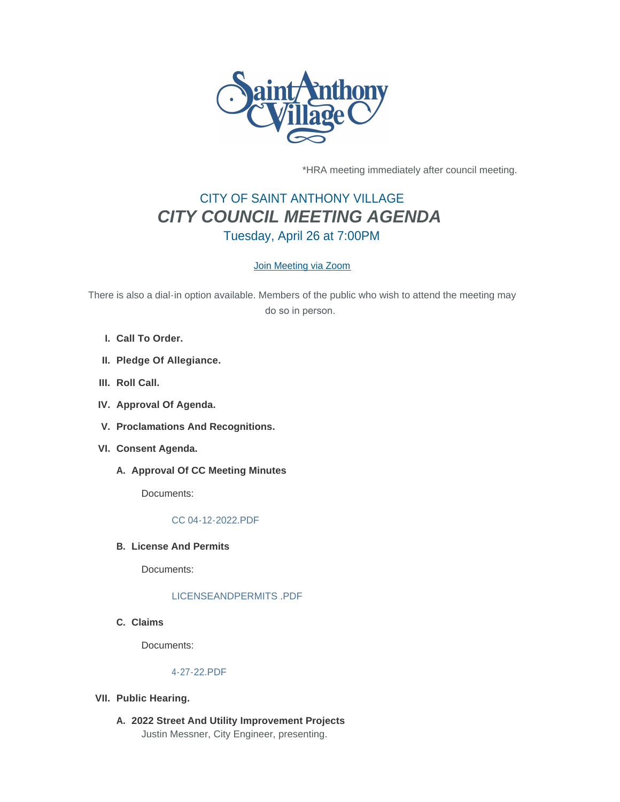

\*HRA meeting immediately after council meeting.

# CITY OF SAINT ANTHONY VILLAGE *CITY COUNCIL MEETING AGENDA* Tuesday, April 26 at 7:00PM

# [Join Meeting via Zoom](https://www.savmn.com/Calendar.aspx?EID=1571)

There is also a dial-in option available. Members of the public who wish to attend the meeting may do so in person.

- **Call To Order. I.**
- **Pledge Of Allegiance. II.**
- III. Roll Call.
- **Approval Of Agenda. IV.**
- **Proclamations And Recognitions. V.**
- **Consent Agenda. VI.**
	- A. Approval Of CC Meeting Minutes

Documents:

# [CC 04-12-2022.PDF](http://www.savmn.com/AgendaCenter/ViewFile/Item/913?fileID=6889)

**License And Permits B.**

Documents:

# [LICENSEANDPERMITS .PDF](http://www.savmn.com/AgendaCenter/ViewFile/Item/911?fileID=6882)

**Claims C.**

Documents:

# [4-27-22.PDF](http://www.savmn.com/AgendaCenter/ViewFile/Item/912?fileID=6888)

- **Public Hearing. VII.**
	- **2022 Street And Utility Improvement Projects A.** Justin Messner, City Engineer, presenting.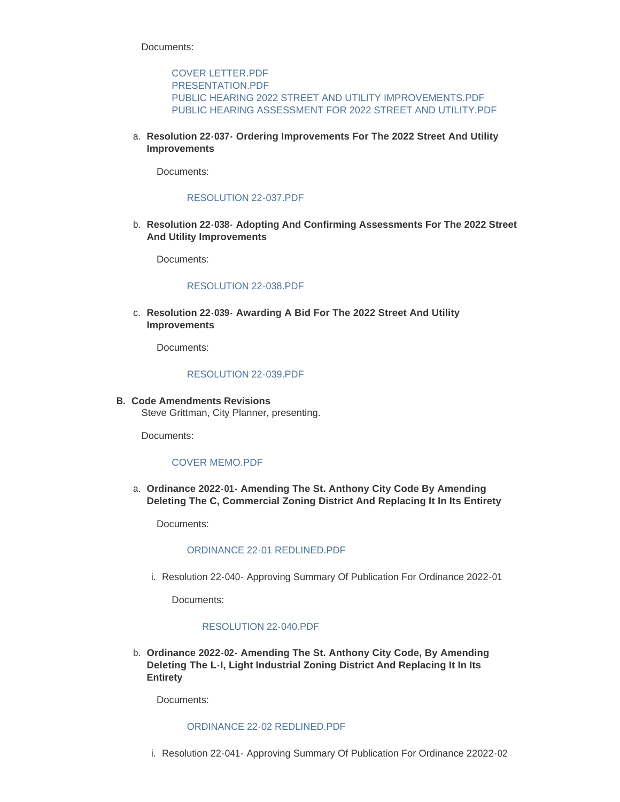Documents:

[COVER LETTER.PDF](http://www.savmn.com/AgendaCenter/ViewFile/Item/908?fileID=6878) [PRESENTATION.PDF](http://www.savmn.com/AgendaCenter/ViewFile/Item/908?fileID=6879) [PUBLIC HEARING 2022 STREET AND UTILITY IMPROVEMENTS.PDF](http://www.savmn.com/AgendaCenter/ViewFile/Item/908?fileID=6893) [PUBLIC HEARING ASSESSMENT FOR 2022 STREET AND UTILITY.PDF](http://www.savmn.com/AgendaCenter/ViewFile/Item/908?fileID=6894)

**Resolution 22-037- Ordering Improvements For The 2022 Street And Utility**  a. **Improvements**

Documents:

## [RESOLUTION 22-037.PDF](http://www.savmn.com/AgendaCenter/ViewFile/Item/914?fileID=6890)

**Resolution 22-038- Adopting And Confirming Assessments For The 2022 Street**  b. **And Utility Improvements**

Documents:

#### [RESOLUTION 22-038.PDF](http://www.savmn.com/AgendaCenter/ViewFile/Item/915?fileID=6891)

**Resolution 22-039- Awarding A Bid For The 2022 Street And Utility**  c. **Improvements**

Documents:

#### [RESOLUTION 22-039.PDF](http://www.savmn.com/AgendaCenter/ViewFile/Item/916?fileID=6892)

**Code Amendments Revisions B.** Steve Grittman, City Planner, presenting.

Documents:

# [COVER MEMO.PDF](http://www.savmn.com/AgendaCenter/ViewFile/Item/909?fileID=6884)

**Ordinance 2022-01- Amending The St. Anthony City Code By Amending**  a. **Deleting The C, Commercial Zoning District And Replacing It In Its Entirety**

Documents:

#### [ORDINANCE 22-01 REDLINED.PDF](http://www.savmn.com/AgendaCenter/ViewFile/Item/919?fileID=6895)

i. Resolution 22-040- Approving Summary Of Publication For Ordinance 2022-01

Documents:

#### [RESOLUTION 22-040.PDF](http://www.savmn.com/AgendaCenter/ViewFile/Item/921?fileID=6907)

**Ordinance 2022-02- Amending The St. Anthony City Code, By Amending**  b. **Deleting The L-I, Light Industrial Zoning District And Replacing It In Its Entirety**

Documents:

## [ORDINANCE 22-02 REDLINED.PDF](http://www.savmn.com/AgendaCenter/ViewFile/Item/920?fileID=6896)

i. Resolution 22-041- Approving Summary Of Publication For Ordinance 22022-02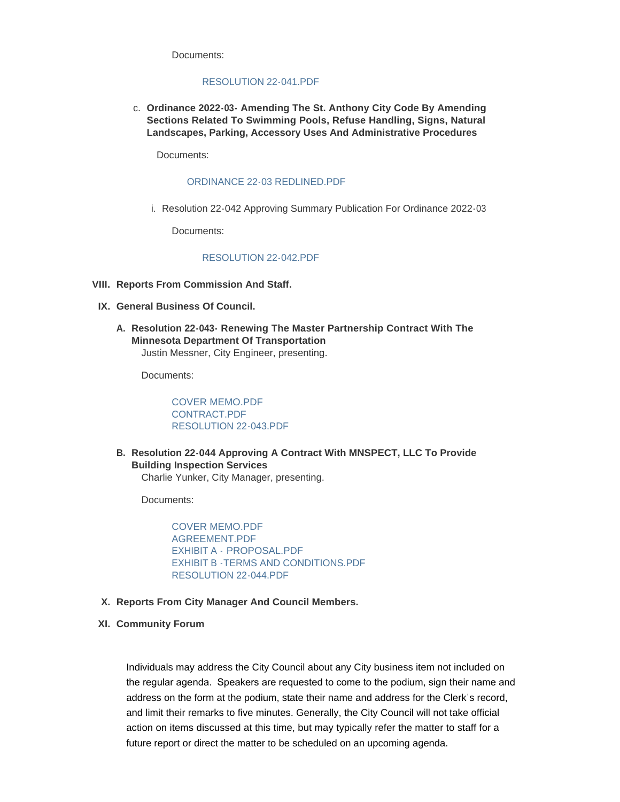Documents:

#### [RESOLUTION 22-041.PDF](http://www.savmn.com/AgendaCenter/ViewFile/Item/922?fileID=6908)

**Ordinance 2022-03- Amending The St. Anthony City Code By Amending**  c. **Sections Related To Swimming Pools, Refuse Handling, Signs, Natural Landscapes, Parking, Accessory Uses And Administrative Procedures**

Documents:

#### [ORDINANCE 22-03 REDLINED.PDF](http://www.savmn.com/AgendaCenter/ViewFile/Item/918?fileID=6897)

i. Resolution 22-042 Approving Summary Publication For Ordinance 2022-03

Documents:

# [RESOLUTION 22-042.PDF](http://www.savmn.com/AgendaCenter/ViewFile/Item/923?fileID=6909)

- **Reports From Commission And Staff. VIII.**
- **General Business Of Council. IX.**
	- **Resolution 22-043- Renewing The Master Partnership Contract With The A. Minnesota Department Of Transportation** Justin Messner, City Engineer, presenting.

Documents:

[COVER MEMO.PDF](http://www.savmn.com/AgendaCenter/ViewFile/Item/910?fileID=6880) [CONTRACT.PDF](http://www.savmn.com/AgendaCenter/ViewFile/Item/910?fileID=6881) [RESOLUTION 22-043.PDF](http://www.savmn.com/AgendaCenter/ViewFile/Item/910?fileID=6901)

**Resolution 22-044 Approving A Contract With MNSPECT, LLC To Provide B. Building Inspection Services** Charlie Yunker, City Manager, presenting.

Documents:

[COVER MEMO.PDF](http://www.savmn.com/AgendaCenter/ViewFile/Item/917?fileID=6911) [AGREEMENT.PDF](http://www.savmn.com/AgendaCenter/ViewFile/Item/917?fileID=6905) EXHIBIT A - [PROPOSAL.PDF](http://www.savmn.com/AgendaCenter/ViewFile/Item/917?fileID=6903) [EXHIBIT B -TERMS AND CONDITIONS.PDF](http://www.savmn.com/AgendaCenter/ViewFile/Item/917?fileID=6904) [RESOLUTION 22-044.PDF](http://www.savmn.com/AgendaCenter/ViewFile/Item/917?fileID=6906)

- **Reports From City Manager And Council Members. X.**
- **Community Forum XI.**

Individuals may address the City Council about any City business item not included on the regular agenda. Speakers are requested to come to the podium, sign their name and address on the form at the podium, state their name and address for the Clerk's record, and limit their remarks to five minutes. Generally, the City Council will not take official action on items discussed at this time, but may typically refer the matter to staff for a future report or direct the matter to be scheduled on an upcoming agenda.